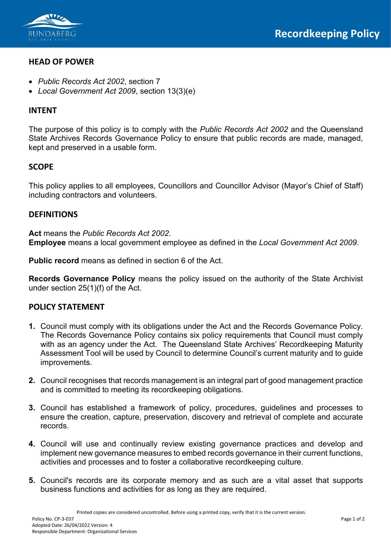

## **HEAD OF POWER**

- *Public Records Act 2002*, section 7
- *Local Government Act 2009*, section 13(3)(e)

#### **INTENT**

The purpose of this policy is to comply with the *Public Records Act 2002* and the Queensland State Archives Records Governance Policy to ensure that public records are made, managed, kept and preserved in a usable form.

### **SCOPE**

This policy applies to all employees, Councillors and Councillor Advisor (Mayor's Chief of Staff) including contractors and volunteers.

### **DEFINITIONS**

**Act** means the *Public Records Act 2002*. **Employee** means a local government employee as defined in the *Local Government Act 2009*.

**Public record** means as defined in section 6 of the Act.

**Records Governance Policy** means the policy issued on the authority of the State Archivist under section 25(1)(f) of the Act.

### **POLICY STATEMENT**

- **1.** Council must comply with its obligations under the Act and the Records Governance Policy. The Records Governance Policy contains six policy requirements that Council must comply with as an agency under the Act. The Queensland State Archives' Recordkeeping Maturity Assessment Tool will be used by Council to determine Council's current maturity and to guide improvements.
- **2.** Council recognises that records management is an integral part of good management practice and is committed to meeting its recordkeeping obligations.
- **3.** Council has established a framework of policy, procedures, guidelines and processes to ensure the creation, capture, preservation, discovery and retrieval of complete and accurate records.
- **4.** Council will use and continually review existing governance practices and develop and implement new governance measures to embed records governance in their current functions, activities and processes and to foster a collaborative recordkeeping culture.
- **5.** Council's records are its corporate memory and as such are a vital asset that supports business functions and activities for as long as they are required.

Printed copies are considered uncontrolled. Before using a printed copy, verify that it is the current version.